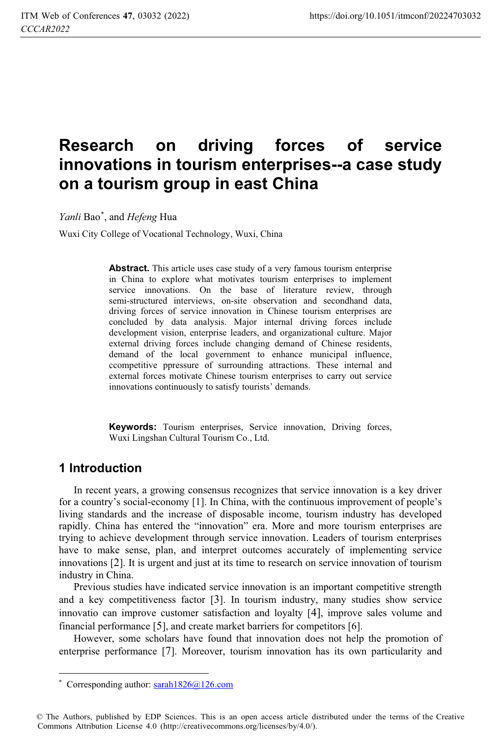# **Research on driving forces of service innovations in tourism enterprises--a case study on a tourism group in east China**

*Yanli* Bao\* , and *Hefeng* Hua

Wuxi City College of Vocational Technology, Wuxi, China

**Abstract.** This article uses case study of a very famous tourism enterprise in China to explore what motivates tourism enterprises to implement service innovations. On the base of literature review, through semi-structured interviews, on-site observation and secondhand data, driving forces of service innovation in Chinese tourism enterprises are concluded by data analysis. Major internal driving forces include development vision, enterprise leaders, and organizational culture. Major external driving forces include changing demand of Chinese residents, demand of the local government to enhance municipal influence, ccompetitive ppressure of surrounding attractions. These internal and external forces motivate Chinese tourism enterprises to carry out service innovations continuously to satisfy tourists' demands.

**Keywords:** Tourism enterprises, Service innovation, Driving forces, Wuxi Lingshan Cultural Tourism Co., Ltd.

# **1 Introduction**

In recent years, a growing consensus recognizes that service innovation is a key driver for a country's social-economy [1]. In China, with the continuous improvement of people's living standards and the increase of disposable income, tourism industry has developed rapidly. China has entered the "innovation" era. More and more tourism enterprises are trying to achieve development through service innovation. Leaders of tourism enterprises have to make sense, plan, and interpret outcomes accurately of implementing service innovations [2]. It is urgent and just at its time to research on service innovation of tourism industry in China.

Previous studies have indicated service innovation is an important competitive strength and a key competitiveness factor [3]. In tourism industry, many studies show service innovatio can improve customer satisfaction and loyalty [4], improve sales volume and financial performance [5], and create market barriers for competitors [6].

However, some scholars have found that innovation does not help the promotion of enterprise performance [7]. Moreover, tourism innovation has its own particularity and

© The Authors, published by EDP Sciences. This is an open access article distributed under the terms of the Creative Commons Attribution License 4.0 (http://creativecommons.org/licenses/by/4.0/).

 $\overline{a}$ \* Corresponding author: sarah1826@126.com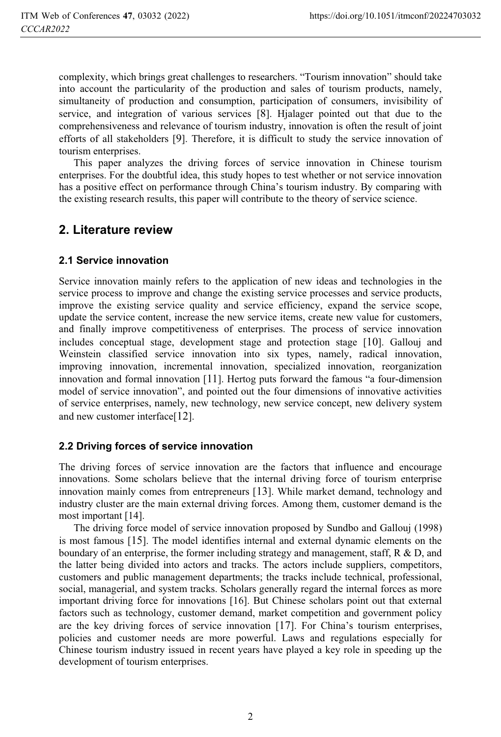complexity, which brings great challenges to researchers. "Tourism innovation" should take into account the particularity of the production and sales of tourism products, namely, simultaneity of production and consumption, participation of consumers, invisibility of service, and integration of various services [8]. Hjalager pointed out that due to the comprehensiveness and relevance of tourism industry, innovation is often the result of joint efforts of all stakeholders [9]. Therefore, it is difficult to study the service innovation of tourism enterprises.

This paper analyzes the driving forces of service innovation in Chinese tourism enterprises. For the doubtful idea, this study hopes to test whether or not service innovation has a positive effect on performance through China's tourism industry. By comparing with the existing research results, this paper will contribute to the theory of service science.

# **2. Literature review**

### **2.1 Service innovation**

Service innovation mainly refers to the application of new ideas and technologies in the service process to improve and change the existing service processes and service products, improve the existing service quality and service efficiency, expand the service scope, update the service content, increase the new service items, create new value for customers, and finally improve competitiveness of enterprises. The process of service innovation includes conceptual stage, development stage and protection stage [10]. Gallouj and Weinstein classified service innovation into six types, namely, radical innovation, improving innovation, incremental innovation, specialized innovation, reorganization innovation and formal innovation [11]. Hertog puts forward the famous "a four-dimension model of service innovation", and pointed out the four dimensions of innovative activities of service enterprises, namely, new technology, new service concept, new delivery system and new customer interface[12].

### **2.2 Driving forces of service innovation**

The driving forces of service innovation are the factors that influence and encourage innovations. Some scholars believe that the internal driving force of tourism enterprise innovation mainly comes from entrepreneurs [13]. While market demand, technology and industry cluster are the main external driving forces. Among them, customer demand is the most important [14].

The driving force model of service innovation proposed by Sundbo and Gallouj (1998) is most famous [15]. The model identifies internal and external dynamic elements on the boundary of an enterprise, the former including strategy and management, staff, R & D, and the latter being divided into actors and tracks. The actors include suppliers, competitors, customers and public management departments; the tracks include technical, professional, social, managerial, and system tracks. Scholars generally regard the internal forces as more important driving force for innovations [16]. But Chinese scholars point out that external factors such as technology, customer demand, market competition and government policy are the key driving forces of service innovation [17]. For China's tourism enterprises, policies and customer needs are more powerful. Laws and regulations especially for Chinese tourism industry issued in recent years have played a key role in speeding up the development of tourism enterprises.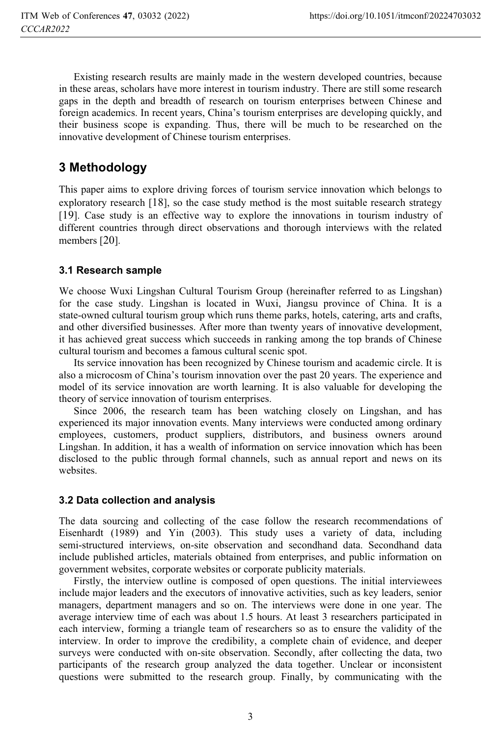Existing research results are mainly made in the western developed countries, because in these areas, scholars have more interest in tourism industry. There are still some research gaps in the depth and breadth of research on tourism enterprises between Chinese and foreign academics. In recent years, China's tourism enterprises are developing quickly, and their business scope is expanding. Thus, there will be much to be researched on the innovative development of Chinese tourism enterprises.

# **3 Methodology**

This paper aims to explore driving forces of tourism service innovation which belongs to exploratory research [18], so the case study method is the most suitable research strategy [19]. Case study is an effective way to explore the innovations in tourism industry of different countries through direct observations and thorough interviews with the related members [20].

### **3.1 Research sample**

We choose Wuxi Lingshan Cultural Tourism Group (hereinafter referred to as Lingshan) for the case study. Lingshan is located in Wuxi, Jiangsu province of China. It is a state-owned cultural tourism group which runs theme parks, hotels, catering, arts and crafts, and other diversified businesses. After more than twenty years of innovative development, it has achieved great success which succeeds in ranking among the top brands of Chinese cultural tourism and becomes a famous cultural scenic spot.

Its service innovation has been recognized by Chinese tourism and academic circle. It is also a microcosm of China's tourism innovation over the past 20 years. The experience and model of its service innovation are worth learning. It is also valuable for developing the theory of service innovation of tourism enterprises.

Since 2006, the research team has been watching closely on Lingshan, and has experienced its major innovation events. Many interviews were conducted among ordinary employees, customers, product suppliers, distributors, and business owners around Lingshan. In addition, it has a wealth of information on service innovation which has been disclosed to the public through formal channels, such as annual report and news on its websites.

#### **3.2 Data collection and analysis**

The data sourcing and collecting of the case follow the research recommendations of Eisenhardt (1989) and Yin (2003). This study uses a variety of data, including semi-structured interviews, on-site observation and secondhand data. Secondhand data include published articles, materials obtained from enterprises, and public information on government websites, corporate websites or corporate publicity materials.

Firstly, the interview outline is composed of open questions. The initial interviewees include major leaders and the executors of innovative activities, such as key leaders, senior managers, department managers and so on. The interviews were done in one year. The average interview time of each was about 1.5 hours. At least 3 researchers participated in each interview, forming a triangle team of researchers so as to ensure the validity of the interview. In order to improve the credibility, a complete chain of evidence, and deeper surveys were conducted with on-site observation. Secondly, after collecting the data, two participants of the research group analyzed the data together. Unclear or inconsistent questions were submitted to the research group. Finally, by communicating with the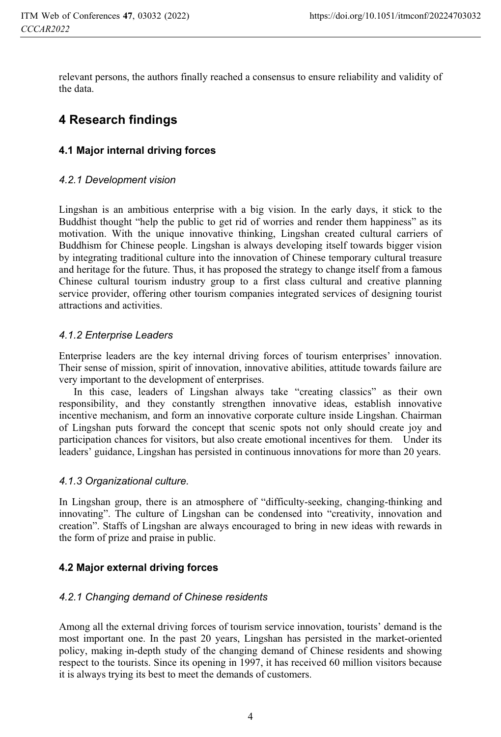relevant persons, the authors finally reached a consensus to ensure reliability and validity of the data.

# **4 Research findings**

### **4.1 Major internal driving forces**

#### *4.2.1 Development vision*

Lingshan is an ambitious enterprise with a big vision. In the early days, it stick to the Buddhist thought "help the public to get rid of worries and render them happiness" as its motivation. With the unique innovative thinking, Lingshan created cultural carriers of Buddhism for Chinese people. Lingshan is always developing itself towards bigger vision by integrating traditional culture into the innovation of Chinese temporary cultural treasure and heritage for the future. Thus, it has proposed the strategy to change itself from a famous Chinese cultural tourism industry group to a first class cultural and creative planning service provider, offering other tourism companies integrated services of designing tourist attractions and activities.

#### *4.1.2 Enterprise Leaders*

Enterprise leaders are the key internal driving forces of tourism enterprises' innovation. Their sense of mission, spirit of innovation, innovative abilities, attitude towards failure are very important to the development of enterprises.

In this case, leaders of Lingshan always take "creating classics" as their own responsibility, and they constantly strengthen innovative ideas, establish innovative incentive mechanism, and form an innovative corporate culture inside Lingshan. Chairman of Lingshan puts forward the concept that scenic spots not only should create joy and participation chances for visitors, but also create emotional incentives for them. Under its leaders' guidance, Lingshan has persisted in continuous innovations for more than 20 years.

#### *4.1.3 Organizational culture.*

In Lingshan group, there is an atmosphere of "difficulty-seeking, changing-thinking and innovating". The culture of Lingshan can be condensed into "creativity, innovation and creation". Staffs of Lingshan are always encouraged to bring in new ideas with rewards in the form of prize and praise in public.

### **4.2 Major external driving forces**

### *4.2.1 Changing demand of Chinese residents*

Among all the external driving forces of tourism service innovation, tourists' demand is the most important one. In the past 20 years, Lingshan has persisted in the market-oriented policy, making in-depth study of the changing demand of Chinese residents and showing respect to the tourists. Since its opening in 1997, it has received 60 million visitors because it is always trying its best to meet the demands of customers.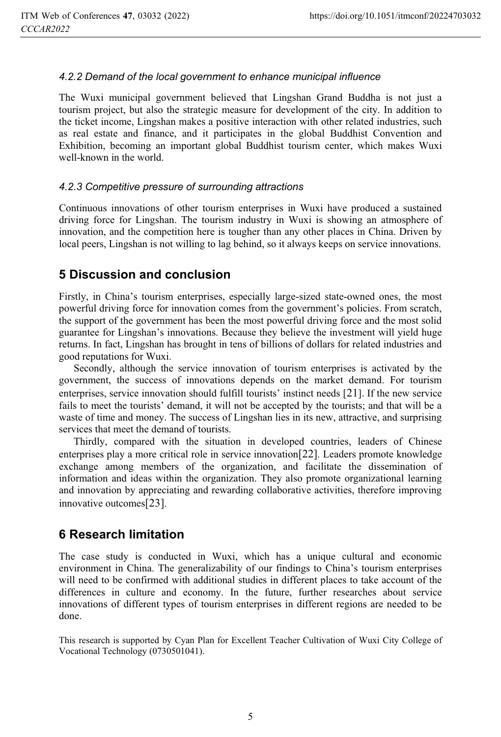#### *4.2.2 Demand of the local government to enhance municipal influence*

The Wuxi municipal government believed that Lingshan Grand Buddha is not just a tourism project, but also the strategic measure for development of the city. In addition to the ticket income, Lingshan makes a positive interaction with other related industries, such as real estate and finance, and it participates in the global Buddhist Convention and Exhibition, becoming an important global Buddhist tourism center, which makes Wuxi well-known in the world.

#### *4.2.3 Competitive pressure of surrounding attractions*

Continuous innovations of other tourism enterprises in Wuxi have produced a sustained driving force for Lingshan. The tourism industry in Wuxi is showing an atmosphere of innovation, and the competition here is tougher than any other places in China. Driven by local peers, Lingshan is not willing to lag behind, so it always keeps on service innovations.

# **5 Discussion and conclusion**

Firstly, in China's tourism enterprises, especially large-sized state-owned ones, the most powerful driving force for innovation comes from the government's policies. From scratch, the support of the government has been the most powerful driving force and the most solid guarantee for Lingshan's innovations. Because they believe the investment will yield huge returns. In fact, Lingshan has brought in tens of billions of dollars for related industries and good reputations for Wuxi.

Secondly, although the service innovation of tourism enterprises is activated by the government, the success of innovations depends on the market demand. For tourism enterprises, service innovation should fulfill tourists' instinct needs [21]. If the new service fails to meet the tourists' demand, it will not be accepted by the tourists; and that will be a waste of time and money. The success of Lingshan lies in its new, attractive, and surprising services that meet the demand of tourists.

Thirdly, compared with the situation in developed countries, leaders of Chinese enterprises play a more critical role in service innovation[22]. Leaders promote knowledge exchange among members of the organization, and facilitate the dissemination of information and ideas within the organization. They also promote organizational learning and innovation by appreciating and rewarding collaborative activities, therefore improving innovative outcomes[23].

# **6 Research limitation**

The case study is conducted in Wuxi, which has a unique cultural and economic environment in China. The generalizability of our findings to China's tourism enterprises will need to be confirmed with additional studies in different places to take account of the differences in culture and economy. In the future, further researches about service innovations of different types of tourism enterprises in different regions are needed to be done.

This research is supported by Cyan Plan for Excellent Teacher Cultivation of Wuxi City College of Vocational Technology (0730501041).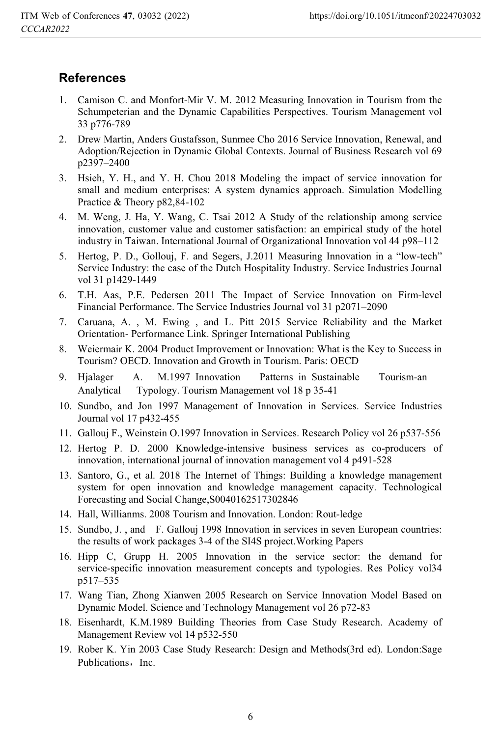# **References**

- 1. Camison C. and Monfort-Mir V. M. 2012 Measuring Innovation in Tourism from the Schumpeterian and the Dynamic Capabilities Perspectives. Tourism Management vol 33 p776-789
- 2. Drew Martin, Anders Gustafsson, Sunmee Cho 2016 Service Innovation, Renewal, and Adoption/Rejection in Dynamic Global Contexts. Journal of Business Research vol 69 p2397–2400
- 3. Hsieh, Y. H., and Y. H. Chou 2018 Modeling the impact of service innovation for small and medium enterprises: A system dynamics approach. Simulation Modelling Practice & Theory p82,84-102
- 4. M. Weng, J. Ha, Y. Wang, C. Tsai 2012 A Study of the relationship among service innovation, customer value and customer satisfaction: an empirical study of the hotel industry in Taiwan. International Journal of Organizational Innovation vol 44 p98–112
- 5. Hertog, P. D., Gollouj, F. and Segers, J.2011 Measuring Innovation in a "low-tech" Service Industry: the case of the Dutch Hospitality Industry. Service Industries Journal vol 31 p1429-1449
- 6. T.H. Aas, P.E. Pedersen 2011 The Impact of Service Innovation on Firm-level Financial Performance. The Service Industries Journal vol 31 p2071–2090
- 7. Caruana, A. , M. Ewing , and L. Pitt 2015 Service Reliability and the Market Orientation- Performance Link. Springer International Publishing
- 8. Weiermair K. 2004 Product Improvement or Innovation: What is the Key to Success in Tourism? OECD. Innovation and Growth in Tourism. Paris: OECD
- 9. Hjalager A. M.1997 Innovation Patterns in Sustainable Tourism-an Analytical Typology. Tourism Management vol 18 p 35-41
- 10. Sundbo, and Jon 1997 Management of Innovation in Services. Service Industries Journal vol 17 p432-455
- 11. Gallouj F., Weinstein O.1997 Innovation in Services. Research Policy vol 26 p537-556
- 12. Hertog P. D. 2000 Knowledge-intensive business services as co-producers of innovation, international journal of innovation management vol 4 p491-528
- 13. Santoro, G., et al. 2018 The Internet of Things: Building a knowledge management system for open innovation and knowledge management capacity. Technological Forecasting and Social Change,S0040162517302846
- 14. Hall, Willianms. 2008 Tourism and Innovation. London: Rout-ledge
- 15. Sundbo, J. , and F. Gallouj 1998 Innovation in services in seven European countries: the results of work packages 3-4 of the SI4S project.Working Papers
- 16. Hipp C, Grupp H. 2005 Innovation in the service sector: the demand for service-specific innovation measurement concepts and typologies. Res Policy vol34 p517–535
- 17. Wang Tian, Zhong Xianwen 2005 Research on Service Innovation Model Based on Dynamic Model. Science and Technology Management vol 26 p72-83
- 18. Eisenhardt, K.M.1989 Building Theories from Case Study Research. Academy of Management Review vol 14 p532-550
- 19. Rober K. Yin 2003 Case Study Research: Design and Methods(3rd ed). London:Sage Publications, Inc.